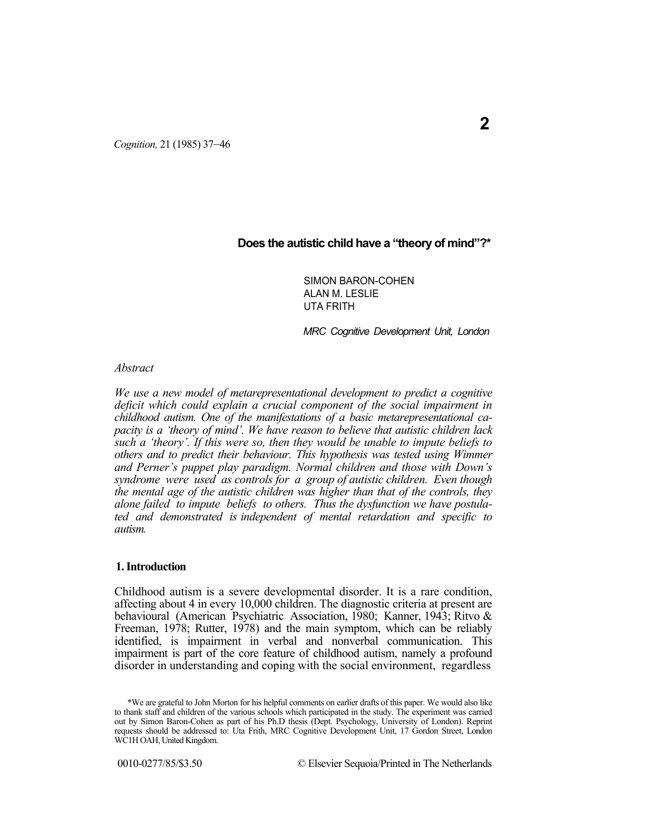# **Does the autistic child have a "theory of mind"?\***

SIMON BARON-COHEN ALAN M. LESLIE UTA FRITH

*MRC Cognitive Development Unit, London* 

### *Abstract*

*We use a new model of metarepresentational development to predict a cognitive deficit which could explain a crucial component of the social impairment in childhood autism. One of the manifestations of a basic metarepresentational capacity is a 'theory of mind'. We have reason to believe that autistic children lack such a 'theory'. If this were so, then they would be unable to impute beliefs to others and to predict their behaviour. This hypothesis was tested using Wimmer and Perner's puppet play paradigm. Normal children and those with Down's syndrome were used as controls for a group of autistic children. Even though the mental age of the autistic children was higher than that of the controls, they alone failed to impute beliefs to others. Thus the dysfunction we have postulated and demonstrated is independent of mental retardation and specific to autism.*

### **1. Introduction**

Childhood autism is a severe developmental disorder. It is a rare condition, affecting about 4 in every 10,000 children. The diagnostic criteria at present are behavioural (American Psychiatric Association, 1980; Kanner, 1943; Ritvo & Freeman, 1978; Rutter, 1978) and the main symptom, which can be reliably identified, is impairment in verbal and nonverbal communication. This impairment is part of the core feature of childhood autism, namely a profound disorder in understanding and coping with the social environment, regardless

<sup>\*</sup>We are grateful to John Morton for his helpful comments on earlier drafts of this paper. We would also like to thank staff and children of the various schools which participated in the study. The experiment was carried out by Simon Baron-Cohen as part of his Ph.D thesis (Dept. Psychology, University of London). Reprint requests should be addressed to: Uta Frith, MRC Cognitive Development Unit, 17 Gordon Street, London WC1H OAH, United Kingdom.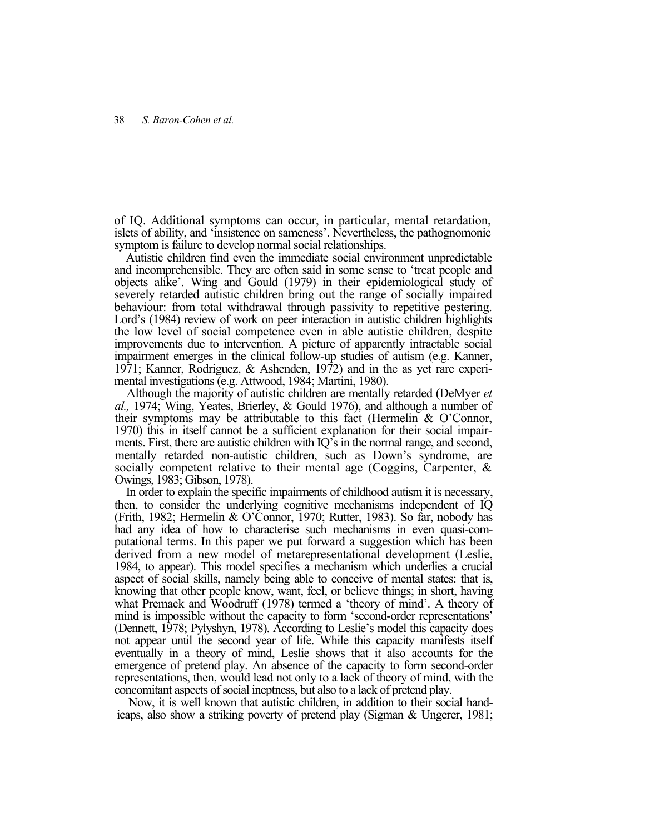of IQ. Additional symptoms can occur, in particular, mental retardation, islets of ability, and 'insistence on sameness'. Nevertheless, the pathognomonic symptom is failure to develop normal social relationships.

Autistic children find even the immediate social environment unpredictable and incomprehensible. They are often said in some sense to 'treat people and objects alike'. Wing and Gould (1979) in their epidemiological study of severely retarded autistic children bring out the range of socially impaired behaviour: from total withdrawal through passivity to repetitive pestering. Lord's (1984) review of work on peer interaction in autistic children highlights the low level of social competence even in able autistic children, despite improvements due to intervention. A picture of apparently intractable social impairment emerges in the clinical follow-up studies of autism (e.g. Kanner, 1971; Kanner, Rodriguez, & Ashenden, 1972) and in the as yet rare experimental investigations (e.g. Attwood, 1984; Martini, 1980).

Although the majority of autistic children are mentally retarded (DeMyer *et al.,* 1974; Wing, Yeates, Brierley, & Gould 1976), and although a number of their symptoms may be attributable to this fact (Hermelin  $\&$  O'Connor, 1970) this in itself cannot be a sufficient explanation for their social impairments. First, there are autistic children with IQ's in the normal range, and second, mentally retarded non-autistic children, such as Down's syndrome, are socially competent relative to their mental age (Coggins, Carpenter, & Owings, 1983; Gibson, 1978).

In order to explain the specific impairments of childhood autism it is necessary, then, to consider the underlying cognitive mechanisms independent of IQ (Frith, 1982; Hermelin & O'Connor, 1970; Rutter, 1983). So far, nobody has had any idea of how to characterise such mechanisms in even quasi-computational terms. In this paper we put forward a suggestion which has been derived from a new model of metarepresentational development (Leslie, 1984, to appear). This model specifies a mechanism which underlies a crucial aspect of social skills, namely being able to conceive of mental states: that is, knowing that other people know, want, feel, or believe things; in short, having what Premack and Woodruff (1978) termed a 'theory of mind'. A theory of mind is impossible without the capacity to form 'second-order representations' (Dennett, 1978; Pylyshyn, 1978). According to Leslie's model this capacity does not appear until the second year of life. While this capacity manifests itself eventually in a theory of mind, Leslie shows that it also accounts for the emergence of pretend play. An absence of the capacity to form second-order representations, then, would lead not only to a lack of theory of mind, with the concomitant aspects of social ineptness, but also to a lack of pretend play.

Now, it is well known that autistic children, in addition to their social handicaps, also show a striking poverty of pretend play (Sigman & Ungerer, 1981;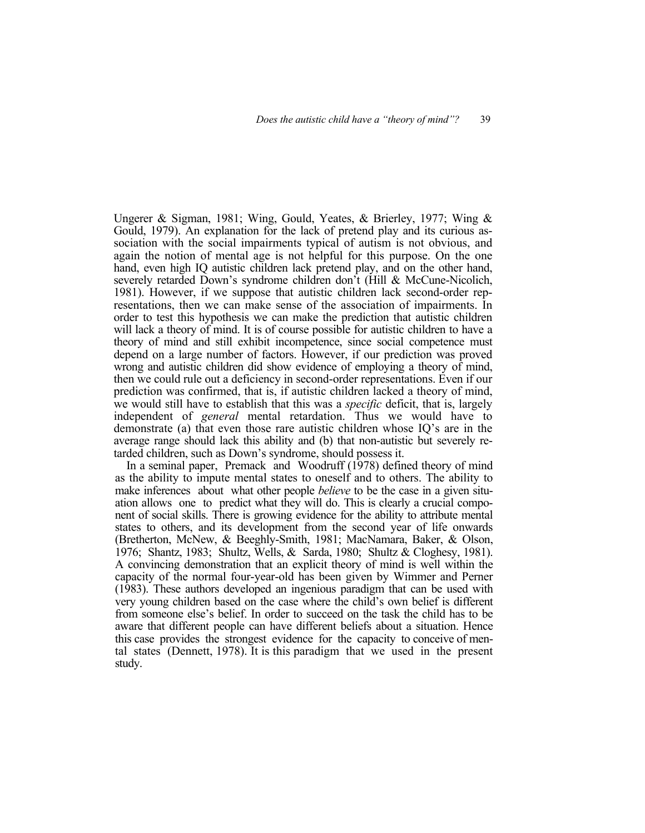Ungerer & Sigman, 1981; Wing, Gould, Yeates, & Brierley, 1977; Wing & Gould, 1979). An explanation for the lack of pretend play and its curious association with the social impairments typical of autism is not obvious, and again the notion of mental age is not helpful for this purpose. On the one hand, even high IQ autistic children lack pretend play, and on the other hand, severely retarded Down's syndrome children don't (Hill & McCune-Nicolich, 1981). However, if we suppose that autistic children lack second-order representations, then we can make sense of the association of impairments. In order to test this hypothesis we can make the prediction that autistic children will lack a theory of mind. It is of course possible for autistic children to have a theory of mind and still exhibit incompetence, since social competence must depend on a large number of factors. However, if our prediction was proved wrong and autistic children did show evidence of employing a theory of mind, then we could rule out a deficiency in second-order representations. Even if our prediction was confirmed, that is, if autistic children lacked a theory of mind, we would still have to establish that this was a *specific* deficit, that is, largely independent of *general* mental retardation. Thus we would have to demonstrate (a) that even those rare autistic children whose IQ's are in the average range should lack this ability and (b) that non-autistic but severely retarded children, such as Down's syndrome, should possess it.

In a seminal paper, Premack and Woodruff (1978) defined theory of mind as the ability to impute mental states to oneself and to others. The ability to make inferences about what other people *believe* to be the case in a given situation allows one to predict what they will do. This is clearly a crucial component of social skills. There is growing evidence for the ability to attribute mental states to others, and its development from the second year of life onwards (Bretherton, McNew, & Beeghly-Smith, 1981; MacNamara, Baker, & Olson, 1976; Shantz, 1983; Shultz, Wells, & Sarda, 1980; Shultz & Cloghesy, 1981). A convincing demonstration that an explicit theory of mind is well within the capacity of the normal four-year-old has been given by Wimmer and Perner (1983). These authors developed an ingenious paradigm that can be used with very young children based on the case where the child's own belief is different from someone else's belief. In order to succeed on the task the child has to be aware that different people can have different beliefs about a situation. Hence this case provides the strongest evidence for the capacity to conceive of mental states (Dennett, 1978). It is this paradigm that we used in the present study.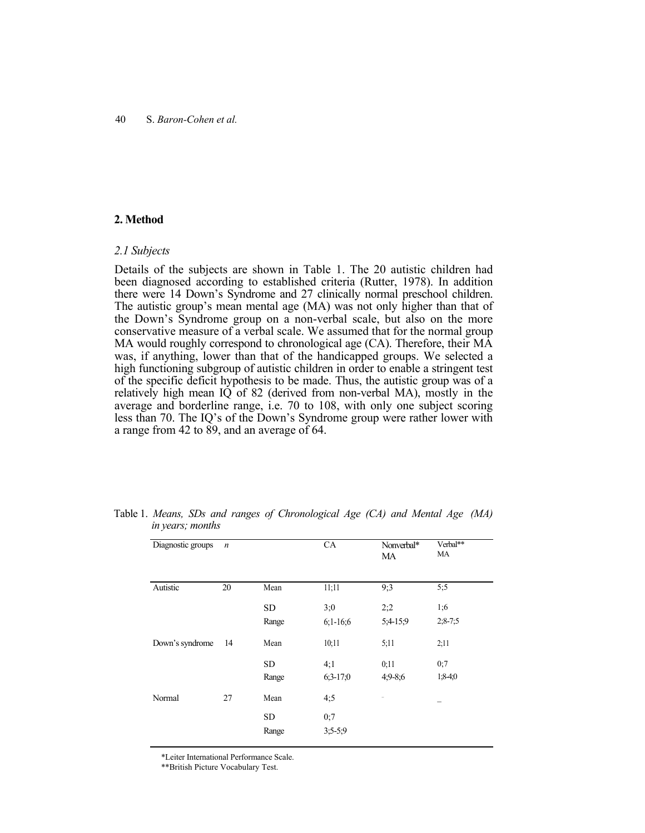#### 40 S. *Baron-Cohen et al.*

# **2. Method**

## *2.1 Subjects*

Details of the subjects are shown in Table 1. The 20 autistic children had been diagnosed according to established criteria (Rutter, 1978). In addition there were 14 Down's Syndrome and 27 clinically normal preschool children. The autistic group's mean mental age (MA) was not only higher than that of the Down's Syndrome group on a non-verbal scale, but also on the more conservative measure of a verbal scale. We assumed that for the normal group MA would roughly correspond to chronological age (CA). Therefore, their MA was, if anything, lower than that of the handicapped groups. We selected a high functioning subgroup of autistic children in order to enable a stringent test of the specific deficit hypothesis to be made. Thus, the autistic group was of a relatively high mean IQ of 82 (derived from non-verbal MA), mostly in the average and borderline range, i.e. 70 to 108, with only one subject scoring less than 70. The IQ's of the Down's Syndrome group were rather lower with a range from 42 to 89, and an average of 64.

| Diagnostic groups | $\boldsymbol{n}$ |                    | CA                | Nonverbal*<br>MA  | Verbal**<br>MA   |
|-------------------|------------------|--------------------|-------------------|-------------------|------------------|
| Autistic          | 20               | Mean               | 11;11             | 9:3               | 5;5              |
|                   |                  | <b>SD</b><br>Range | 3:0<br>$6;1-16;6$ | 2;2<br>$5;4-15;9$ | 1:6<br>$2;8-7;5$ |
| Down's syndrome   | 14               | Mean               | 10:11             | 5:11              | 2;11             |
|                   |                  | <b>SD</b><br>Range | 4:1<br>$6:3-17:0$ | 0:11<br>$4;9-8;6$ | 0:7<br>$1;8-4;0$ |
| Normal            | 27               | Mean               | 4;5               |                   |                  |
|                   |                  | <b>SD</b><br>Range | 0;7<br>$3;5-5;9$  |                   |                  |

Table 1. *Means, SDs and ranges of Chronological Age (CA) and Mental Age (MA) in years; months*

\*Leiter International Performance Scale.

\*\*British Picture Vocabulary Test.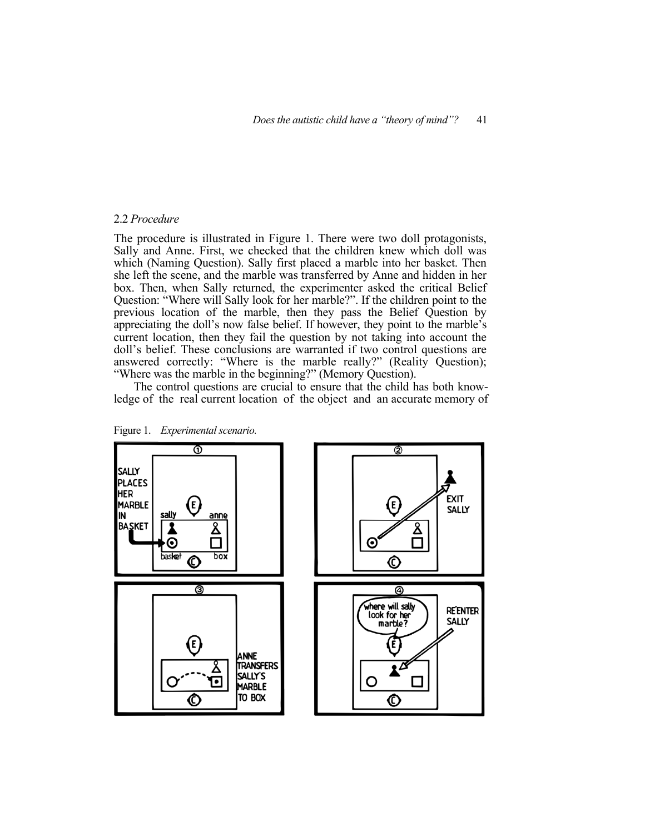### 2.2 *Procedure*

The procedure is illustrated in Figure 1. There were two doll protagonists, Sally and Anne. First, we checked that the children knew which doll was which (Naming Question). Sally first placed a marble into her basket. Then she left the scene, and the marble was transferred by Anne and hidden in her box. Then, when Sally returned, the experimenter asked the critical Belief Question: "Where will Sally look for her marble?". If the children point to the previous location of the marble, then they pass the Belief Question by appreciating the doll's now false belief. If however, they point to the marble's current location, then they fail the question by not taking into account the doll's belief. These conclusions are warranted if two control questions are answered correctly: "Where is the marble really?" (Reality Question); "Where was the marble in the beginning?" (Memory Question).

The control questions are crucial to ensure that the child has both knowledge of the real current location of the object and an accurate memory of



Figure 1. *Experimental scenario.*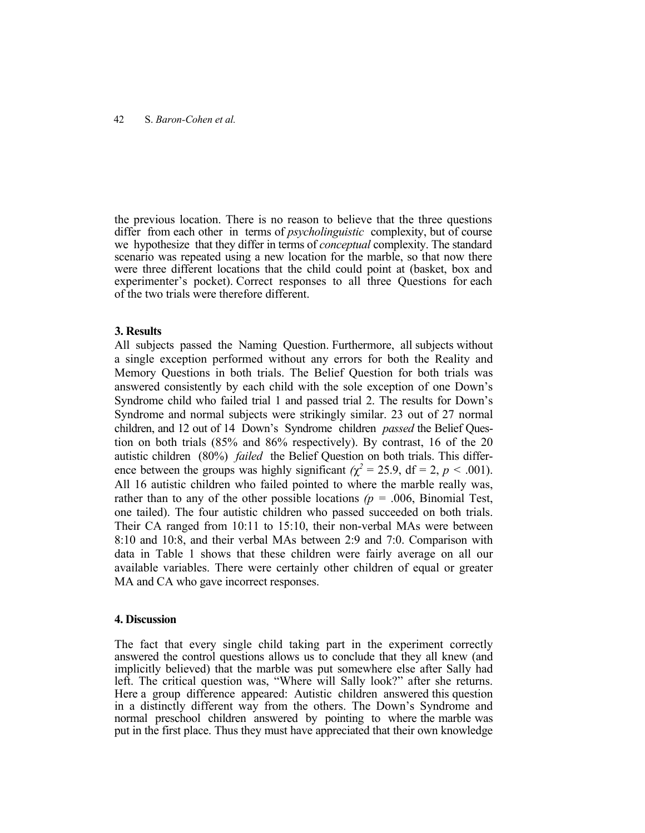the previous location. There is no reason to believe that the three questions differ from each other in terms of *psycholinguistic* complexity, but of course we hypothesize that they differ in terms of *conceptual* complexity. The standard scenario was repeated using a new location for the marble, so that now there were three different locations that the child could point at (basket, box and experimenter's pocket). Correct responses to all three Questions for each of the two trials were therefore different.

## **3. Results**

All subjects passed the Naming Question. Furthermore, all subjects without a single exception performed without any errors for both the Reality and Memory Questions in both trials. The Belief Question for both trials was answered consistently by each child with the sole exception of one Down's Syndrome child who failed trial 1 and passed trial 2. The results for Down's Syndrome and normal subjects were strikingly similar. 23 out of 27 normal children, and 12 out of 14 Down's Syndrome children *passed* the Belief Question on both trials (85% and 86% respectively). By contrast, 16 of the 20 autistic children (80%) *failed* the Belief Question on both trials. This difference between the groups was highly significant  $\gamma^2 = 25.9$ , df = 2, *p* < .001). All 16 autistic children who failed pointed to where the marble really was, rather than to any of the other possible locations  $(p = .006,$  Binomial Test, one tailed). The four autistic children who passed succeeded on both trials. Their CA ranged from 10:11 to 15:10, their non-verbal MAs were between 8:10 and 10:8, and their verbal MAs between 2:9 and 7:0. Comparison with data in Table 1 shows that these children were fairly average on all our available variables. There were certainly other children of equal or greater MA and CA who gave incorrect responses.

## **4. Discussion**

The fact that every single child taking part in the experiment correctly answered the control questions allows us to conclude that they all knew (and implicitly believed) that the marble was put somewhere else after Sally had left. The critical question was, "Where will Sally look?" after she returns. Here a group difference appeared: Autistic children answered this question in a distinctly different way from the others. The Down's Syndrome and normal preschool children answered by pointing to where the marble was put in the first place. Thus they must have appreciated that their own knowledge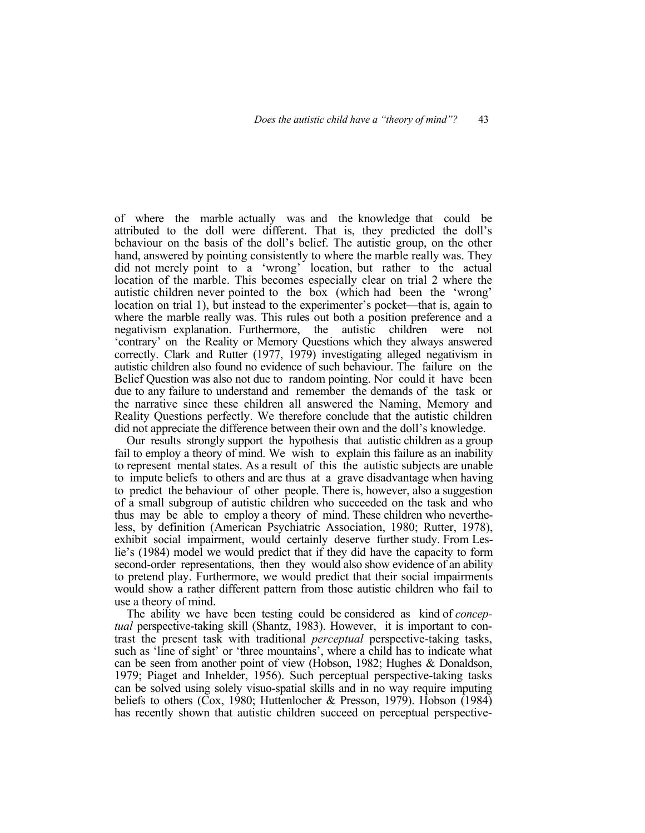of where the marble actually was and the knowledge that could be attributed to the doll were different. That is, they predicted the doll's behaviour on the basis of the doll's belief. The autistic group, on the other hand, answered by pointing consistently to where the marble really was. They did not merely point to a 'wrong' location, but rather to the actual location of the marble. This becomes especially clear on trial 2 where the autistic children never pointed to the box (which had been the 'wrong' location on trial 1), but instead to the experimenter's pocket—that is, again to where the marble really was. This rules out both a position preference and a negativism explanation. Furthermore, the autistic children were not 'contrary' on the Reality or Memory Questions which they always answered correctly. Clark and Rutter (1977, 1979) investigating alleged negativism in autistic children also found no evidence of such behaviour. The failure on the Belief Question was also not due to random pointing. Nor could it have been due to any failure to understand and remember the demands of the task or the narrative since these children all answered the Naming, Memory and Reality Questions perfectly. We therefore conclude that the autistic children did not appreciate the difference between their own and the doll's knowledge.

Our results strongly support the hypothesis that autistic children as a group fail to employ a theory of mind. We wish to explain this failure as an inability to represent mental states. As a result of this the autistic subjects are unable to impute beliefs to others and are thus at a grave disadvantage when having to predict the behaviour of other people. There is, however, also a suggestion of a small subgroup of autistic children who succeeded on the task and who thus may be able to employ a theory of mind. These children who nevertheless, by definition (American Psychiatric Association, 1980; Rutter, 1978), exhibit social impairment, would certainly deserve further study. From Leslie's (1984) model we would predict that if they did have the capacity to form second-order representations, then they would also show evidence of an ability to pretend play. Furthermore, we would predict that their social impairments would show a rather different pattern from those autistic children who fail to use a theory of mind.

The ability we have been testing could be considered as kind of *conceptual* perspective-taking skill (Shantz, 1983). However, it is important to contrast the present task with traditional *perceptual* perspective-taking tasks, such as 'line of sight' or 'three mountains', where a child has to indicate what can be seen from another point of view (Hobson, 1982; Hughes & Donaldson, 1979; Piaget and Inhelder, 1956). Such perceptual perspective-taking tasks can be solved using solely visuo-spatial skills and in no way require imputing beliefs to others (Cox, 1980; Huttenlocher & Presson, 1979). Hobson (1984) has recently shown that autistic children succeed on perceptual perspective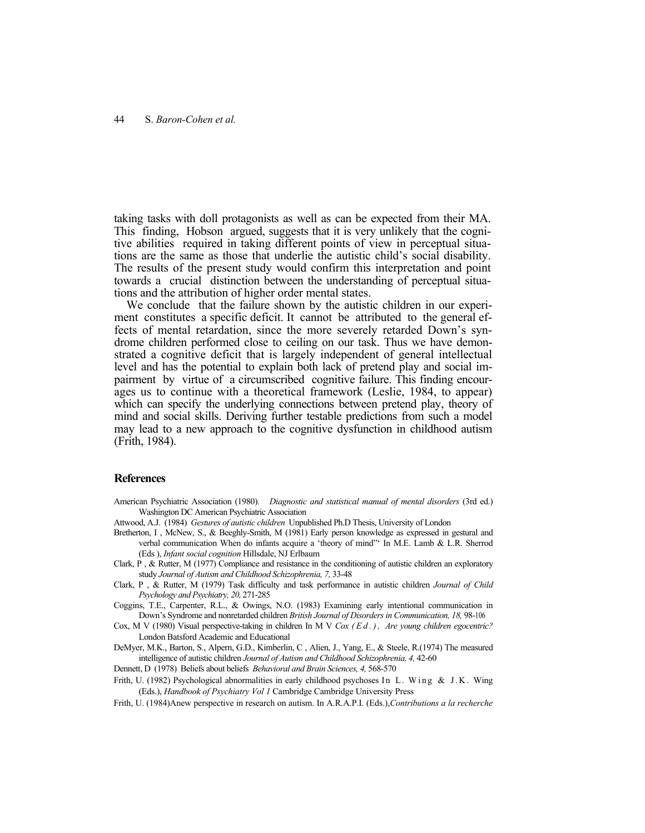taking tasks with doll protagonists as well as can be expected from their MA. This finding, Hobson argued, suggests that it is very unlikely that the cognitive abilities required in taking different points of view in perceptual situations are the same as those that underlie the autistic child's social disability. The results of the present study would confirm this interpretation and point towards a crucial distinction between the understanding of perceptual situations and the attribution of higher order mental states.

We conclude that the failure shown by the autistic children in our experiment constitutes a specific deficit. It cannot be attributed to the general effects of mental retardation, since the more severely retarded Down's syndrome children performed close to ceiling on our task. Thus we have demonstrated a cognitive deficit that is largely independent of general intellectual level and has the potential to explain both lack of pretend play and social impairment by virtue of a circumscribed cognitive failure. This finding encourages us to continue with a theoretical framework (Leslie, 1984, to appear) which can specify the underlying connections between pretend play, theory of mind and social skills. Deriving further testable predictions from such a model may lead to a new approach to the cognitive dysfunction in childhood autism (Frith, 1984).

#### **References**

- American Psychiatric Association (1980). *Diagnostic and statistical manual of mental disorders* (3rd ed.) Washington DC American Psychiatric Association
- Attwood, A.J. (1984) *Gestures of autistic children* Unpublished Ph.D Thesis, University of London
- Bretherton, I , McNew, S., & Beeghly-Smith, M (1981) Early person knowledge as expressed in gestural and verbal communication When do infants acquire a 'theory of mind"' In M.E. Lamb & L.R. Sherrod (Eds ), *Infant social cognition* Hillsdale, NJ Erlbaum
- Clark, P , & Rutter, M (1977) Compliance and resistance in the conditioning of autistic children an exploratory study *Journal of Autism and Childhood Schizophrenia, 7,* 33-48
- Clark, P , & Rutter, M (1979) Task difficulty and task performance in autistic children *Journal of Child Psychology and Psychiatry, 20,* 271-285
- Coggins, T.E., Carpenter, R.L., & Owings, N.O. (1983) Examining early intentional communication in Down's Syndrome and nonretarded children *British Journal of Disorders in Communication, 18, 98*-106
- Cox, M V (1980) Visual perspective-taking in children In M V *Cox ( E d . ) , Are young children egocentric?*  London Batsford Academic and Educational
- DeMyer, M.K., Barton, S., Alpern, G.D., Kimberlin, C , Alien, J., Yang, E., & Steele, R.(1974) The measured intelligence of autistic children *Journal of Autism and Childhood Schizophrenia, 4,* 42-60

Dennett, D (1978) Beliefs about beliefs *Behavioral and Brain Sciences, 4,* 568-570

- Frith, U. (1982) Psychological abnormalities in early childhood psychoses In L. Wing & J.K. Wing (Eds.), *Handbook of Psychiatry Vol 1* Cambridge Cambridge University Press
- Frith, U. (1984)Anew perspective in research on autism. In A.R.A.P.I. (Eds.),*Contributions a la recherche*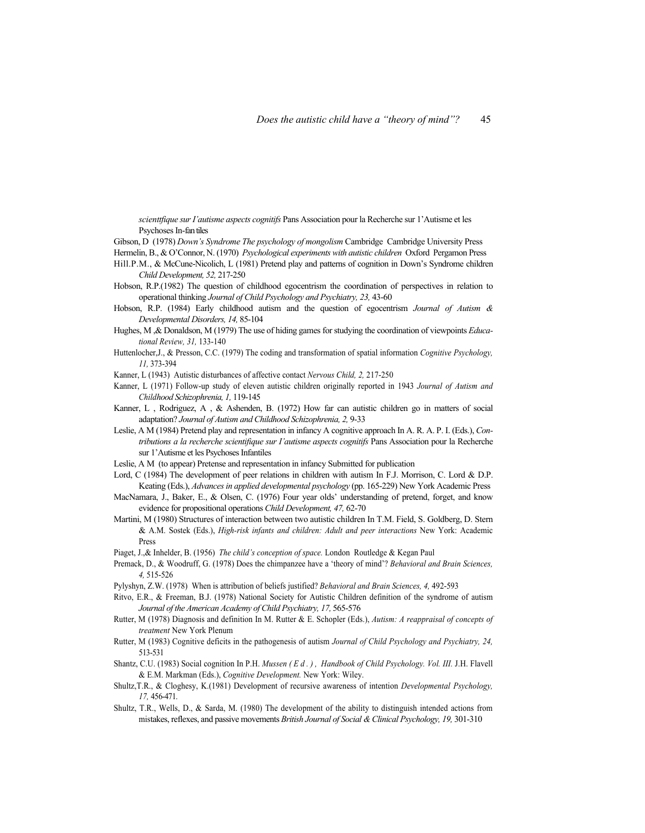*scienttfique sur I'autisme aspects cognitifs* Pans Association pour la Recherche sur 1'Autisme et les Psychoses In-fan tiles

Gibson, D (1978) *Down's Syndrome The psychology of mongolism* Cambridge Cambridge University Press Hermelin, B., & O'Connor, N. (1970) *Psychological experiments with autistic children* Oxford Pergamon Press

- Hill.P.M., & McCune-Nicolich, L (1981) Pretend play and patterns of cognition in Down's Syndrome children *Child Development, 52,* 217-250
- Hobson, R.P.(1982) The question of childhood egocentrism the coordination of perspectives in relation to operational thinking *Journal of Child Psychology and Psychiatry, 23,* 43-60
- Hobson, R.P. (1984) Early childhood autism and the question of egocentrism *Journal of Autism & Developmental Disorders, 14,* 85-104
- Hughes, M ,& Donaldson, M (1979) The use of hiding games for studying the coordination of viewpoints *Educational Review, 31,* 133-140
- Huttenlocher,J., & Presson, C.C. (1979) The coding and transformation of spatial information *Cognitive Psychology, 11,* 373-394
- Kanner, L (1943) Autistic disturbances of affective contact *Nervous Child, 2,* 217-250
- Kanner, L (1971) Follow-up study of eleven autistic children originally reported in 1943 *Journal of Autism and Childhood Schizophrenia, 1,* 119-145
- Kanner, L , Rodriguez, A , & Ashenden, B. (1972) How far can autistic children go in matters of social adaptation? *Journal of Autism and Childhood Schizophrenia, 2,* 9-33
- Leslie, A M (1984) Pretend play and representation in infancy A cognitive approach In A. R. A. P. I. (Eds.), *Contributions a la recherche scientifique sur I'autisme aspects cognitifs* Pans Association pour la Recherche sur 1'Autisme et les Psychoses Infantiles
- Leslie, A M (to appear) Pretense and representation in infancy Submitted for publication
- Lord, C (1984) The development of peer relations in children with autism In F.J. Morrison, C. Lord & D.P. Keating (Eds.), *Advances in applied developmental psychology* (pp. 165-229) New York Academic Press
- MacNamara, J., Baker, E., & Olsen, C. (1976) Four year olds' understanding of pretend, forget, and know evidence for propositional operations *Child Development, 47,* 62-70
- Martini, M (1980) Structures of interaction between two autistic children In T.M. Field, S. Goldberg, D. Stern & A.M. Sostek (Eds.), *High-risk infants and children: Adult and peer interactions* New York: Academic Press
- Piaget, J.,& Inhelder, B. (1956) *The child's conception of space.* London Routledge & Kegan Paul
- Premack, D., & Woodruff, G. (1978) Does the chimpanzee have a 'theory of mind'? *Behavioral and Brain Sciences, 4,* 515-526
- Pylyshyn, Z.W. (1978) When is attribution of beliefs justified? *Behavioral and Brain Sciences, 4,* 492-593
- Ritvo, E.R., & Freeman, B.J. (1978) National Society for Autistic Children definition of the syndrome of autism Journal of the American Academy of Child Psychiatry, 17, 565-576
- Rutter, M (1978) Diagnosis and definition In M. Rutter & E. Schopler (Eds.), *Autism: A reappraisal of concepts of treatment* New York Plenum
- Rutter, M (1983) Cognitive deficits in the pathogenesis of autism *Journal of Child Psychology and Psychiatry, 24,*  513-531
- Shantz, C.U. (1983) Social cognition In P.H. *Mussen (Ed.), Handbook of Child Psychology. Vol. III. J.*H. Flavell & E.M. Markman (Eds.), *Cognitive Development.* New York: Wiley.
- Shultz,T.R., & Cloghesy, K.(1981) Development of recursive awareness of intention *Developmental Psychology, 17,* 456-471.
- Shultz, T.R., Wells, D., & Sarda, M. (1980) The development of the ability to distinguish intended actions from mistakes, reflexes, and passive movements *British Journal of Social & Clinical Psychology, 19,* 301-310